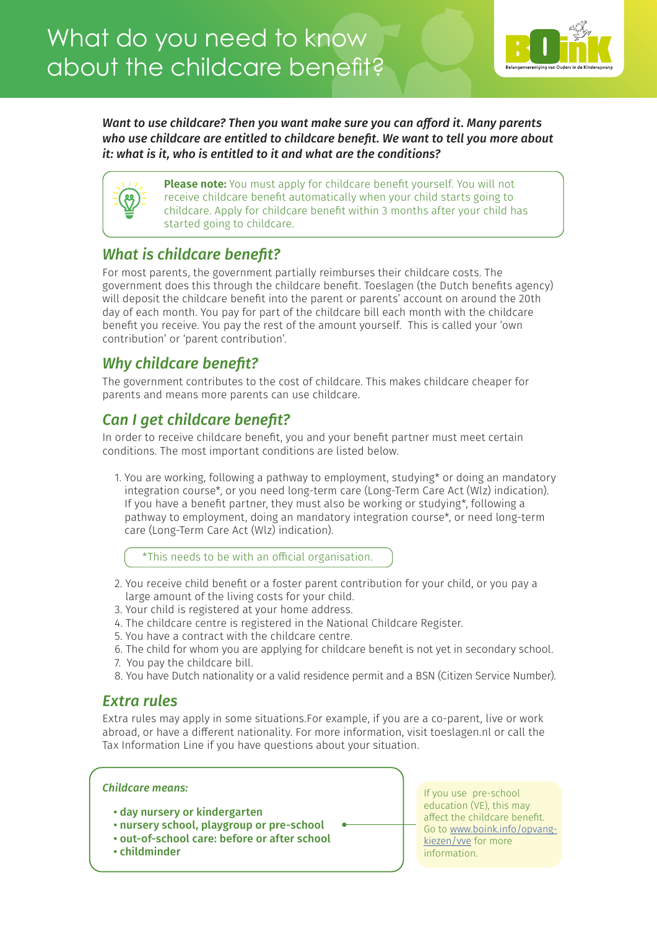

*Want to use childcare? Then you want make sure you can afford it. Many parents who use childcare are entitled to childcare benefit. We want to tell you more about it: what is it, who is entitled to it and what are the conditions?*



# *What is childcare benefit?*

For most parents, the government partially reimburses their childcare costs. The government does this through the childcare benefit. Toeslagen (the Dutch benefits agency) will deposit the childcare benefit into the parent or parents' account on around the 20th day of each month. You pay for part of the childcare bill each month with the childcare benefit you receive. You pay the rest of the amount yourself. This is called your 'own contribution' or 'parent contribution'.

# *Why childcare benefit?*

The government contributes to the cost of childcare. This makes childcare cheaper for parents and means more parents can use childcare.

### *Can I get childcare benefit?*

In order to receive childcare benefit, you and your benefit partner must meet certain conditions. The most important conditions are listed below.

1. You are working, following a pathway to employment, studying\* or doing an mandatory integration course\*, or you need long-term care (Long-Term Care Act (Wlz) indication). If you have a benefit partner, they must also be working or studying\*, following a pathway to employment, doing an mandatory integration course\*, or need long-term care (Long-Term Care Act (Wlz) indication).

\*This needs to be with an official organisation.

- 2. You receive child benefit or a foster parent contribution for your child, or you pay a large amount of the living costs for your child.
- 3. Your child is registered at your home address.
- 4. The childcare centre is registered in the National Childcare Register.
- 5. You have a contract with the childcare centre.
- 6. The child for whom you are applying for childcare benefit is not yet in secondary school.
- 7. You pay the childcare bill.
- 8. You have Dutch nationality or a valid residence permit and a BSN (Citizen Service Number).

### *Extra rules*

Extra rules may apply in some situations.For example, if you are a co-parent, live or work abroad, or have a different nationality. For more information, visit toeslagen.nl or call the Tax Information Line if you have questions about your situation.

### *Childcare means:*

- day nursery or kindergarten
- nursery school, playgroup or pre-school
- out-of-school care: before or after school
- childminder

If you use pre-school education (VE), this may affect the childcare benefit. Go to [www.boink.info/opvang](http://www.boink.info/opvang- kiezen/vve)[kiezen/vve](http://www.boink.info/opvang- kiezen/vve) for more information.